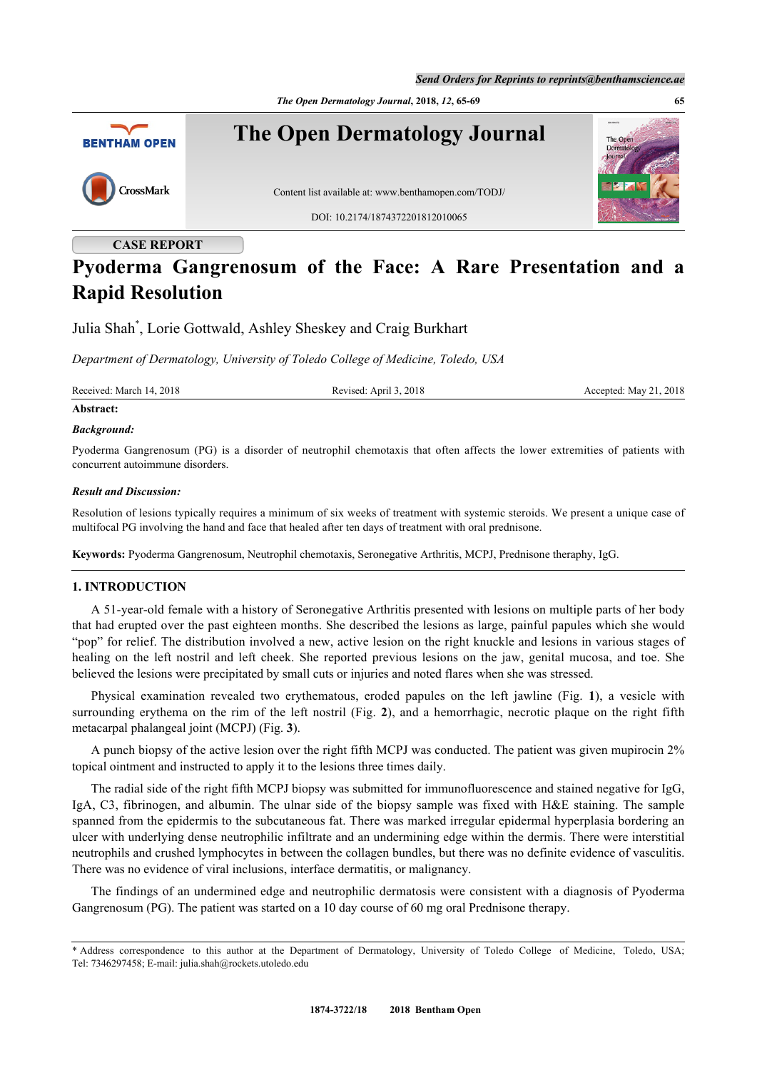*The Open Dermatology Journal***, 2018,** *12***, 65-69 65**



## **CASE REPORT**

# **Pyoderma Gangrenosum of the Face: A Rare Presentation and a Rapid Resolution**

Julia Shah[\\*](#page-0-0) , Lorie Gottwald, Ashley Sheskey and Craig Burkhart

*Department of Dermatology, University of Toledo College of Medicine, Toledo, USA*

Received: March 14, 2018 Revised: April 3, 2018 Revised: April 3, 2018 Accepted: May 21, 2018

# **Abstract:**

#### *Background:*

Pyoderma Gangrenosum (PG) is a disorder of neutrophil chemotaxis that often affects the lower extremities of patients with concurrent autoimmune disorders.

#### *Result and Discussion:*

Resolution of lesions typically requires a minimum of six weeks of treatment with systemic steroids. We present a unique case of multifocal PG involving the hand and face that healed after ten days of treatment with oral prednisone.

**Keywords:** Pyoderma Gangrenosum, Neutrophil chemotaxis, Seronegative Arthritis, MCPJ, Prednisone theraphy, IgG.

#### **1. INTRODUCTION**

A 51-year-old female with a history of Seronegative Arthritis presented with lesions on multiple parts of her body that had erupted over the past eighteen months. She described the lesions as large, painful papules which she would "pop" for relief. The distribution involved a new, active lesion on the right knuckle and lesions in various stages of healing on the left nostril and left cheek. She reported previous lesions on the jaw, genital mucosa, and toe. She believed the lesions were precipitated by small cuts or injuries and noted flares when she was stressed.

Physical examination revealed two erythematous, eroded papules on the left jawline (Fig.**1**), a vesicle with surrounding erythema on the rim of the left nostril (Fig. **[2](#page-1-0)**), and a hemorrhagic, necrotic plaque on the right fifth metacarpal phalangeal joint (MCPJ) (Fig. **[3](#page-1-1)**).

A punch biopsy of the active lesion over the right fifth MCPJ was conducted. The patient was given mupirocin 2% topical ointment and instructed to apply it to the lesions three times daily.

The radial side of the right fifth MCPJ biopsy was submitted for immunofluorescence and stained negative for IgG, IgA, C3, fibrinogen, and albumin. The ulnar side of the biopsy sample was fixed with H&E staining. The sample spanned from the epidermis to the subcutaneous fat. There was marked irregular epidermal hyperplasia bordering an ulcer with underlying dense neutrophilic infiltrate and an undermining edge within the dermis. There were interstitial neutrophils and crushed lymphocytes in between the collagen bundles, but there was no definite evidence of vasculitis. There was no evidence of viral inclusions, interface dermatitis, or malignancy.

The findings of an undermined edge and neutrophilic dermatosis were consistent with a diagnosis of Pyoderma Gangrenosum (PG). The patient was started on a 10 day course of 60 mg oral Prednisone therapy.

<span id="page-0-1"></span><span id="page-0-0"></span><sup>\*</sup> Address correspondence to this author at the Department of Dermatology, University of Toledo College of Medicine, Toledo, USA; Tel: 7346297458; E-mail: [julia.shah@rockets.utoledo.edu](mailto:julia.shah@rockets.utoledo.edu)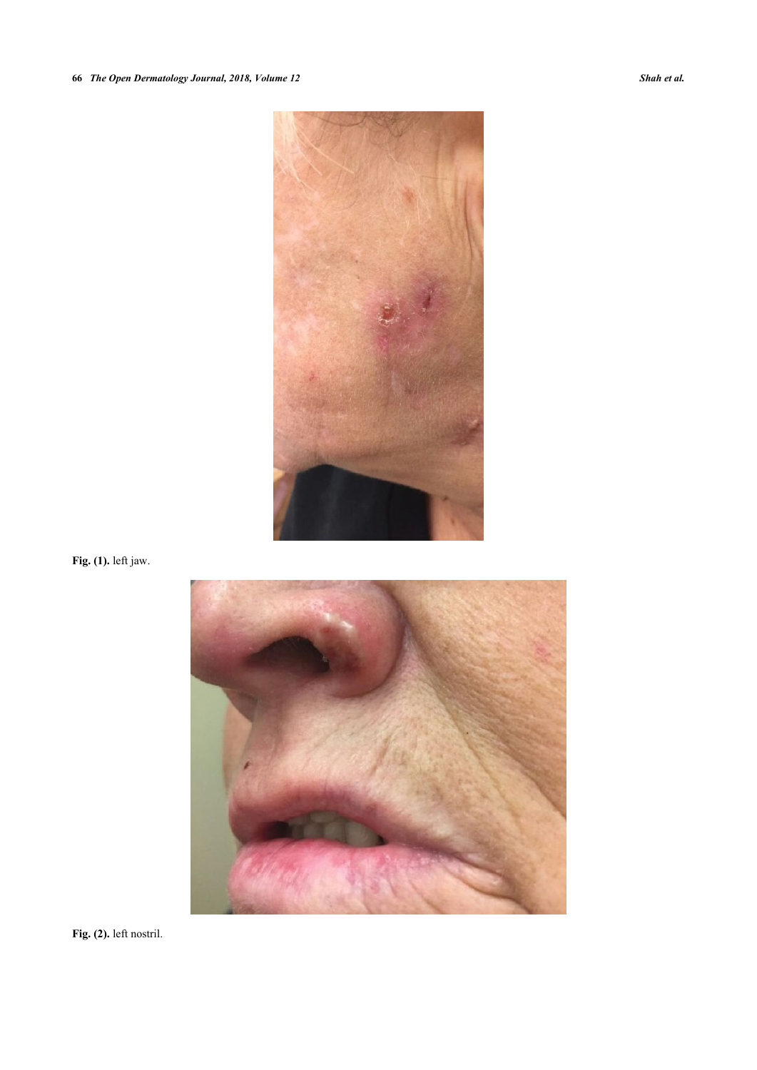# **66** *The Open Dermatology Journal, 2018, Volume 12 Shah et al.*



<span id="page-1-0"></span>**Fig. (1).** left jaw.



<span id="page-1-1"></span>**Fig. (2).** left nostril.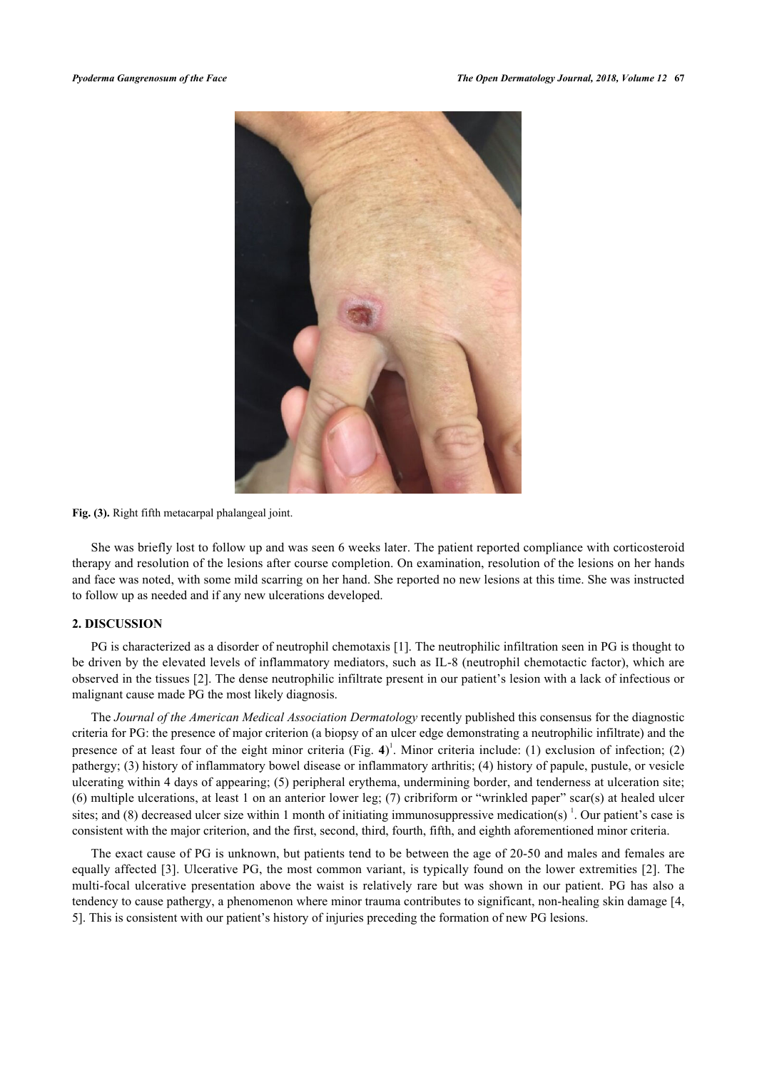

**Fig. (3).** Right fifth metacarpal phalangeal joint.

She was briefly lost to follow up and was seen 6 weeks later. The patient reported compliance with corticosteroid therapy and resolution of the lesions after course completion. On examination, resolution of the lesions on her hands and face was noted, with some mild scarring on her hand. She reported no new lesions at this time. She was instructed to follow up as needed and if any new ulcerations developed.

### **2. DISCUSSION**

PG is characterized as a disorder of neutrophil chemotaxis [\[1](#page-4-0)]. The neutrophilic infiltration seen in PG is thought to be driven by the elevated levels of inflammatory mediators, such as IL-8 (neutrophil chemotactic factor), which are observed in the tissues [\[2\]](#page-4-1). The dense neutrophilic infiltrate present in our patient's lesion with a lack of infectious or malignant cause made PG the most likely diagnosis.

The *Journal of the American Medical Association Dermatology* recently published this consensus for the diagnostic criteria for PG: the presence of major criterion (a biopsy of an ulcer edge demonstrating a neutrophilic infiltrate) and the presence of at least four of the eight minor criteria (Fig. **[4](#page-2-0)**) 1 . Minor criteria include: (1) exclusion of infection; (2) pathergy; (3) history of inflammatory bowel disease or inflammatory arthritis; (4) history of papule, pustule, or vesicle ulcerating within 4 days of appearing; (5) peripheral erythema, undermining border, and tenderness at ulceration site; (6) multiple ulcerations, at least 1 on an anterior lower leg; (7) cribriform or "wrinkled paper" scar(s) at healed ulcer sites; and (8) decreased ulcer size within 1 month of initiating immunosuppressive medication(s)  $\cdot$ . Our patient's case is consistent with the major criterion, and the first, second, third, fourth, fifth, and eighth aforementioned minor criteria.

<span id="page-2-0"></span>The exact cause of PG is unknown, but patients tend to be between the age of 20-50 and males and females are equally affected [\[3](#page-4-2)]. Ulcerative PG, the most common variant, is typically found on the lower extremities [\[2](#page-4-1)]. The multi-focal ulcerative presentation above the waist is relatively rare but was shown in our patient. PG has also a tendency to cause pathergy, a phenomenon where minor trauma contributes to significant, non-healing skin damage [[4](#page-4-3), [5\]](#page-4-4). This is consistent with our patient's history of injuries preceding the formation of new PG lesions.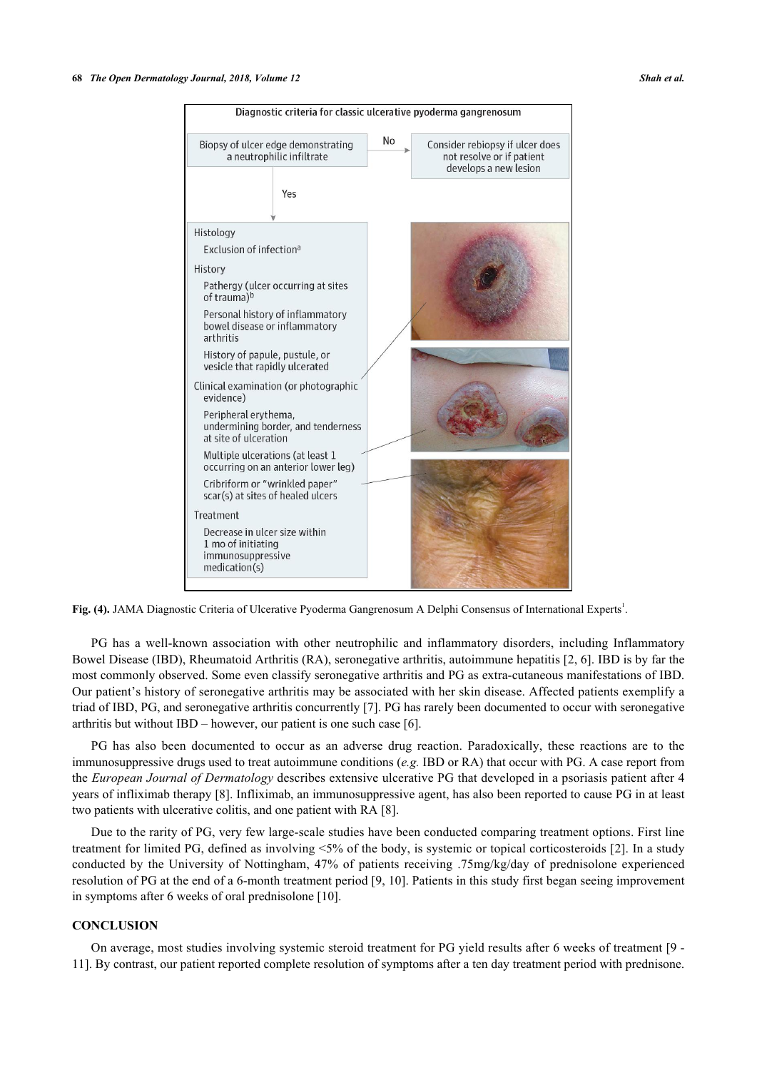

Fig. (4). JAMA Diagnostic Criteria of Ulcerative Pyoderma Gangrenosum A Delphi Consensus of International Experts<sup>1</sup>.

PG has a well-known association with other neutrophilic and inflammatory disorders, including Inflammatory Bowel Disease (IBD), Rheumatoid Arthritis (RA), seronegative arthritis, autoimmune hepatitis [[2,](#page-4-1) [6\]](#page-4-5). IBD is by far the most commonly observed. Some even classify seronegative arthritis and PG as extra-cutaneous manifestations of IBD. Our patient's history of seronegative arthritis may be associated with her skin disease. Affected patients exemplify a triad of IBD, PG, and seronegative arthritis concurrently [[7](#page-4-6)]. PG has rarely been documented to occur with seronegative arthritis but without IBD – however, our patient is one such case [[6\]](#page-4-5).

PG has also been documented to occur as an adverse drug reaction. Paradoxically, these reactions are to the immunosuppressive drugs used to treat autoimmune conditions (*e.g.* IBD or RA) that occur with PG. A case report from the *European Journal of Dermatology* describes extensive ulcerative PG that developed in a psoriasis patient after 4 years of infliximab therapy [\[8](#page-4-7)]. Infliximab, an immunosuppressive agent, has also been reported to cause PG in at least two patients with ulcerative colitis, and one patient with RA [\[8](#page-4-7)].

Due to the rarity of PG, very few large-scale studies have been conducted comparing treatment options. First line treatment for limited PG, defined as involving <5% of the body, is systemic or topical corticosteroids [[2\]](#page-4-1). In a study conducted by the University of Nottingham, 47% of patients receiving .75mg/kg/day of prednisolone experienced resolution of PG at the end of a 6-month treatment period [\[9,](#page-4-8) [10\]](#page-4-9). Patients in this study first began seeing improvement in symptoms after 6 weeks of oral prednisolone [[10\]](#page-4-9).

### **CONCLUSION**

On average, most studies involving systemic steroid treatment for PG yield results after 6 weeks of treatment [\[9](#page-4-8) - [11\]](#page-4-10). By contrast, our patient reported complete resolution of symptoms after a ten day treatment period with prednisone.